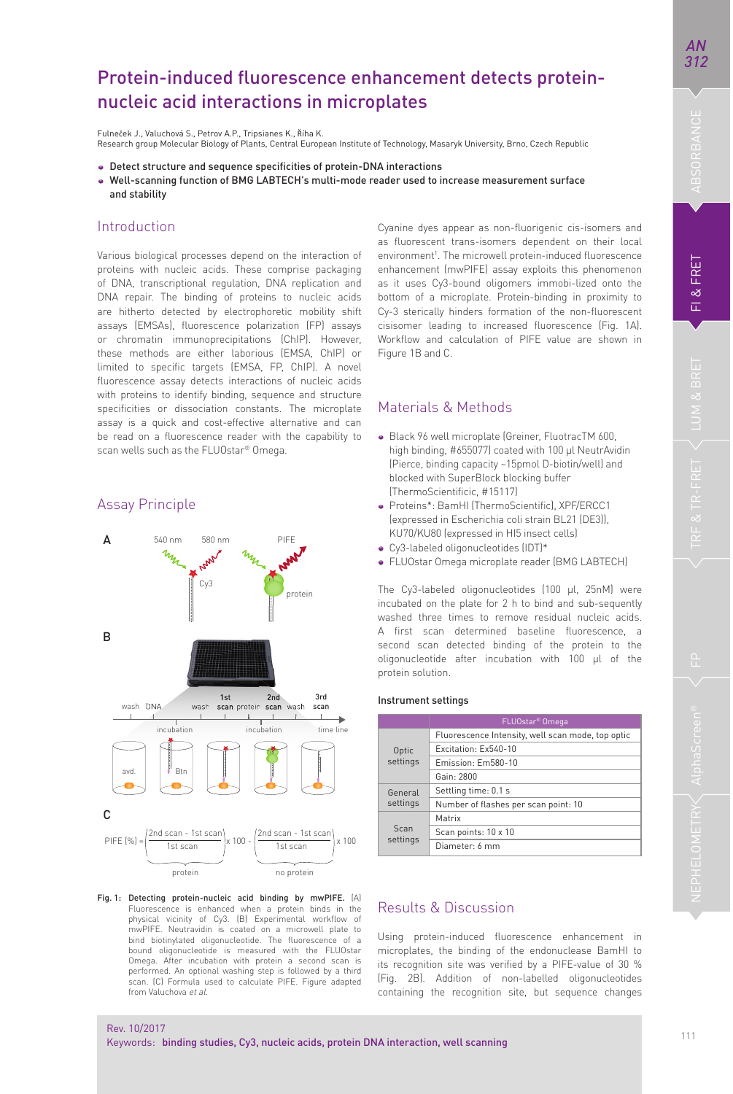# Protein-induced fluorescence enhancement detects proteinnucleic acid interactions in microplates

Fulneček J., Valuchová S., Petrov A.P., Trinsianes K., Říha K. Research group Molecular Biology of Plants, Central European Institute of Technology, Masaryk University, Brno, Czech Republic

- Detect structure and sequence specificities of protein-DNA interactions
- Well-scanning function of BMG LABTECH's multi-mode reader used to increase measurement surface and stability

### Introduction

Various biological processes depend on the interaction of proteins with nucleic acids. These comprise packaging of DNA, transcriptional regulation, DNA replication and DNA repair. The binding of proteins to nucleic acids are hitherto detected by electrophoretic mobility shift assays (EMSAs), fluorescence polarization (FP) assays or chromatin immunoprecipitations (ChIP). However, these methods are either laborious (EMSA, ChIP) or limited to specific targets (EMSA, FP, ChIP). A novel fluorescence assay detects interactions of nucleic acids with proteins to identify binding, sequence and structure specificities or dissociation constants. The microplate assay is a quick and cost-effective alternative and can be read on a fluorescence reader with the capability to scan wells such as the FLUOstar® Omega.

## Assay Principle



Fig. 1: Detecting protein-nucleic acid binding by mwPIFE. (A) Fluorescence is enhanced when a protein binds in the physical vicinity of Cy3. (B) Experimental workflow of mwPIFE. Neutravidin is coated on a microwell plate to bind biotinylated oligonucleotide. The fluorescence of a bound oligonucleotide is measured with the FLUOstar Omega. After incubation with protein a second scan is performed. An optional washing step is followed by a third scan. (C) Formula used to calculate PIFE. Figure adapted from Valuchova et al.

Cyanine dyes appear as non-fluorigenic cis-isomers and as fluorescent trans-isomers dependent on their local environment<sup>1</sup>. The microwell protein-induced fluorescence enhancement (mwPIFE) assay exploits this phenomenon as it uses Cy3-bound oligomers immobi-lized onto the bottom of a microplate. Protein-binding in proximity to Cy-3 sterically hinders formation of the non-fluorescent cisisomer leading to increased fluorescence (Fig. 1A). Workflow and calculation of PIFE value are shown in Figure 1B and C.

## Materials & Methods

- Black 96 well microplate (Greiner, FluotracTM 600, high binding, #655077) coated with 100 µl NeutrAvidin (Pierce, binding capacity ~15pmol D-biotin/well) and blocked with SuperBlock blocking buffer (ThermoScientificic, #15117)
- Proteins\*: BamHI (ThermoScientific), XPF/ERCC1 (expressed in Escherichia coli strain BL21 (DE3)), KU70/KU80 (expressed in HI5 insect cells)
- Cy3-labeled oligonucleotides (IDT)\*
- FLUOstar Omega microplate reader (BMG LABTECH)

The Cy3-labeled oligonucleotides (100 μl, 25nM) were incubated on the plate for 2 h to bind and sub-sequently washed three times to remove residual nucleic acids. A first scan determined baseline fluorescence, a second scan detected binding of the protein to the oligonucleotide after incubation with 100 μl of the protein solution.

#### Instrument settings

|                     | FLUOstar <sup>®</sup> Omega                       |
|---------------------|---------------------------------------------------|
| Optic<br>settings   | Fluorescence Intensity, well scan mode, top optic |
|                     | Fxcitation: Fx540-10                              |
|                     | Emission: Em580-10                                |
|                     | Gain: 2800                                        |
| General<br>settings | Settling time: 0.1 s                              |
|                     | Number of flashes per scan point: 10              |
| Scan<br>settings    | Matrix                                            |
|                     | Scan points: 10 x 10                              |
|                     | Diameter: 6 mm                                    |

# Results & Discussion

Using protein-induced fluorescence enhancement in microplates, the binding of the endonuclease BamHI to its recognition site was verified by a PIFE-value of 30 % (Fig. 2B). Addition of non-labelled oligonucleotides containing the recognition site, but sequence changes